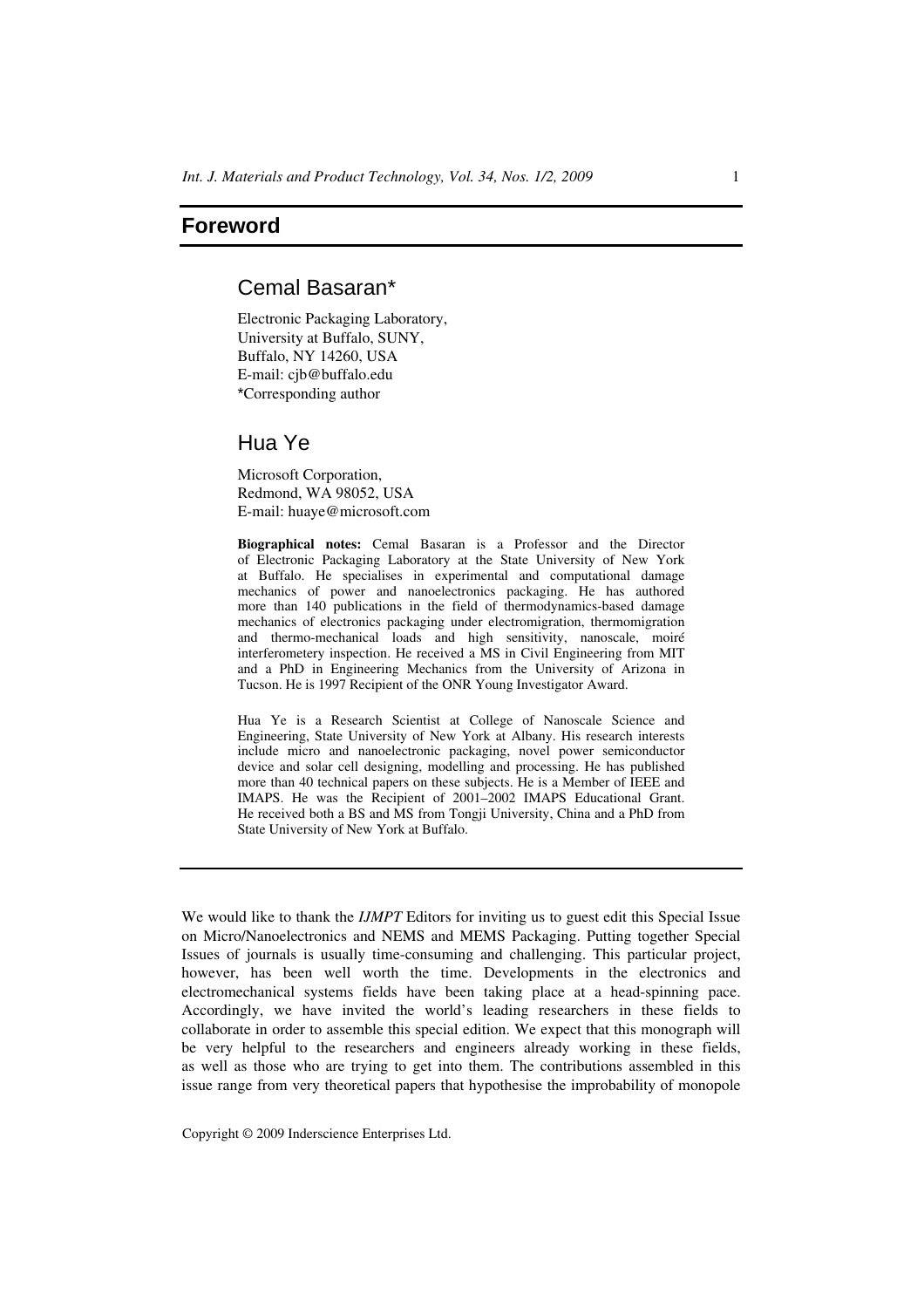## **Foreword**

## Cemal Basaran\*

Electronic Packaging Laboratory, University at Buffalo, SUNY, Buffalo, NY 14260, USA E-mail: cjb@buffalo.edu \*Corresponding author

## Hua Ye

Microsoft Corporation, Redmond, WA 98052, USA E-mail: huaye@microsoft.com

**Biographical notes:** Cemal Basaran is a Professor and the Director of Electronic Packaging Laboratory at the State University of New York at Buffalo. He specialises in experimental and computational damage mechanics of power and nanoelectronics packaging. He has authored more than 140 publications in the field of thermodynamics-based damage mechanics of electronics packaging under electromigration, thermomigration and thermo-mechanical loads and high sensitivity, nanoscale, moiré interferometery inspection. He received a MS in Civil Engineering from MIT and a PhD in Engineering Mechanics from the University of Arizona in Tucson. He is 1997 Recipient of the ONR Young Investigator Award.

Hua Ye is a Research Scientist at College of Nanoscale Science and Engineering, State University of New York at Albany. His research interests include micro and nanoelectronic packaging, novel power semiconductor device and solar cell designing, modelling and processing. He has published more than 40 technical papers on these subjects. He is a Member of IEEE and IMAPS. He was the Recipient of 2001–2002 IMAPS Educational Grant. He received both a BS and MS from Tongji University, China and a PhD from State University of New York at Buffalo.

We would like to thank the *IJMPT* Editors for inviting us to guest edit this Special Issue on Micro/Nanoelectronics and NEMS and MEMS Packaging. Putting together Special Issues of journals is usually time-consuming and challenging. This particular project, however, has been well worth the time. Developments in the electronics and electromechanical systems fields have been taking place at a head-spinning pace. Accordingly, we have invited the world's leading researchers in these fields to collaborate in order to assemble this special edition. We expect that this monograph will be very helpful to the researchers and engineers already working in these fields, as well as those who are trying to get into them. The contributions assembled in this issue range from very theoretical papers that hypothesise the improbability of monopole

Copyright © 2009 Inderscience Enterprises Ltd.